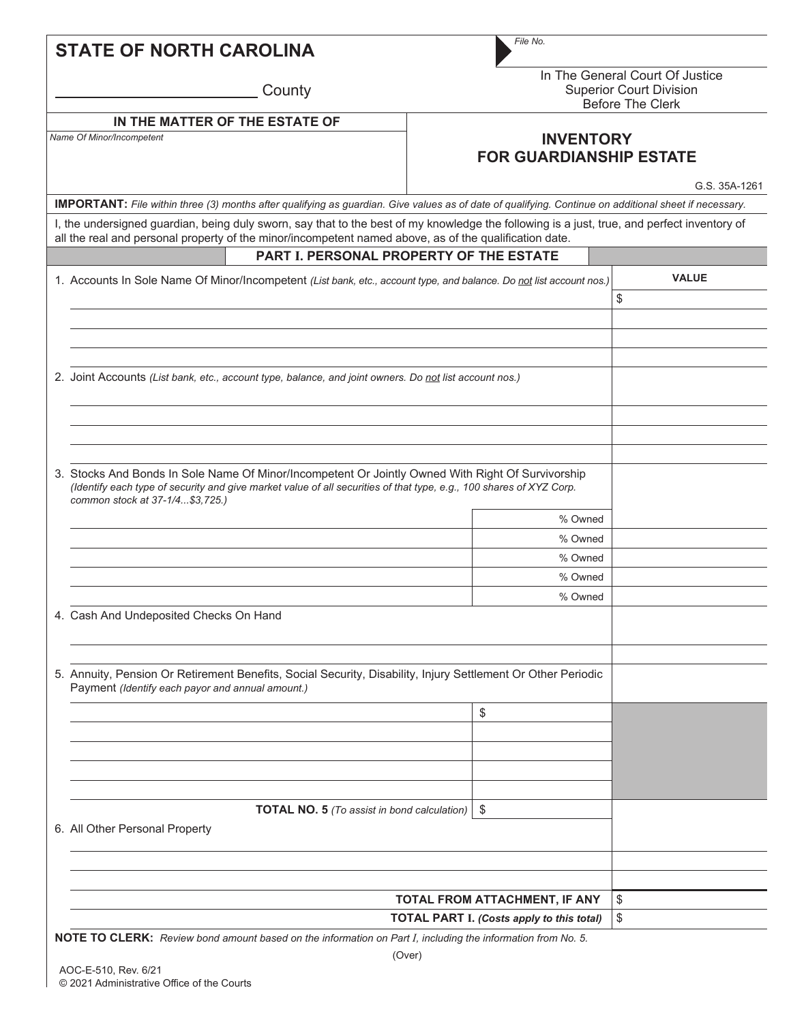| File No.                                                                                                                                                                                                                                              |                                                                                                     |  |
|-------------------------------------------------------------------------------------------------------------------------------------------------------------------------------------------------------------------------------------------------------|-----------------------------------------------------------------------------------------------------|--|
| In The General Court Of Justice<br><b>Superior Court Division</b><br><b>Before The Clerk</b>                                                                                                                                                          |                                                                                                     |  |
|                                                                                                                                                                                                                                                       |                                                                                                     |  |
| <b>INVENTORY</b><br><b>FOR GUARDIANSHIP ESTATE</b>                                                                                                                                                                                                    |                                                                                                     |  |
|                                                                                                                                                                                                                                                       | G.S. 35A-1261                                                                                       |  |
| <b>IMPORTANT:</b> File within three (3) months after qualifying as guardian. Give values as of date of qualifying. Continue on additional sheet if necessary.                                                                                         |                                                                                                     |  |
| I, the undersigned guardian, being duly sworn, say that to the best of my knowledge the following is a just, true, and perfect inventory of<br>all the real and personal property of the minor/incompetent named above, as of the qualification date. |                                                                                                     |  |
|                                                                                                                                                                                                                                                       |                                                                                                     |  |
| 1. Accounts In Sole Name Of Minor/Incompetent (List bank, etc., account type, and balance. Do not list account nos.)                                                                                                                                  | <b>VALUE</b>                                                                                        |  |
|                                                                                                                                                                                                                                                       | \$                                                                                                  |  |
|                                                                                                                                                                                                                                                       |                                                                                                     |  |
|                                                                                                                                                                                                                                                       |                                                                                                     |  |
|                                                                                                                                                                                                                                                       |                                                                                                     |  |
| 2. Joint Accounts (List bank, etc., account type, balance, and joint owners. Do not list account nos.)                                                                                                                                                |                                                                                                     |  |
|                                                                                                                                                                                                                                                       |                                                                                                     |  |
|                                                                                                                                                                                                                                                       |                                                                                                     |  |
|                                                                                                                                                                                                                                                       |                                                                                                     |  |
|                                                                                                                                                                                                                                                       |                                                                                                     |  |
| 3. Stocks And Bonds In Sole Name Of Minor/Incompetent Or Jointly Owned With Right Of Survivorship<br>(Identify each type of security and give market value of all securities of that type, e.g., 100 shares of XYZ Corp.                              |                                                                                                     |  |
| % Owned                                                                                                                                                                                                                                               |                                                                                                     |  |
| % Owned                                                                                                                                                                                                                                               |                                                                                                     |  |
| % Owned                                                                                                                                                                                                                                               |                                                                                                     |  |
| % Owned                                                                                                                                                                                                                                               |                                                                                                     |  |
| % Owned                                                                                                                                                                                                                                               |                                                                                                     |  |
|                                                                                                                                                                                                                                                       |                                                                                                     |  |
|                                                                                                                                                                                                                                                       |                                                                                                     |  |
|                                                                                                                                                                                                                                                       |                                                                                                     |  |
| 5. Annuity, Pension Or Retirement Benefits, Social Security, Disability, Injury Settlement Or Other Periodic                                                                                                                                          |                                                                                                     |  |
| \$                                                                                                                                                                                                                                                    |                                                                                                     |  |
|                                                                                                                                                                                                                                                       |                                                                                                     |  |
|                                                                                                                                                                                                                                                       |                                                                                                     |  |
|                                                                                                                                                                                                                                                       |                                                                                                     |  |
|                                                                                                                                                                                                                                                       |                                                                                                     |  |
|                                                                                                                                                                                                                                                       |                                                                                                     |  |
|                                                                                                                                                                                                                                                       |                                                                                                     |  |
|                                                                                                                                                                                                                                                       |                                                                                                     |  |
|                                                                                                                                                                                                                                                       |                                                                                                     |  |
|                                                                                                                                                                                                                                                       |                                                                                                     |  |
|                                                                                                                                                                                                                                                       |                                                                                                     |  |
| TOTAL FROM ATTACHMENT, IF ANY                                                                                                                                                                                                                         | \$                                                                                                  |  |
|                                                                                                                                                                                                                                                       | PART I. PERSONAL PROPERTY OF THE ESTATE<br>\$<br><b>TOTAL NO. 5</b> (To assist in bond calculation) |  |